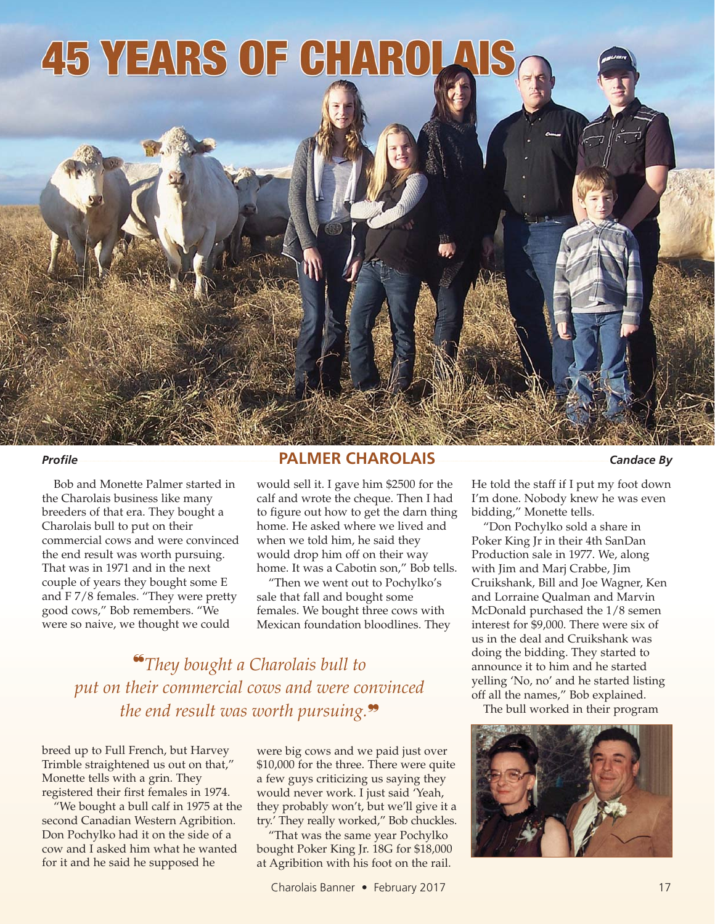## **45 YEARS OF CHAROL**

Bob and Monette Palmer started in the Charolais business like many breeders of that era. They bought a Charolais bull to put on their commercial cows and were convinced the end result was worth pursuing. That was in 1971 and in the next couple of years they bought some E and F 7/8 females. "They were pretty good cows," Bob remembers. "We were so naive, we thought we could

## *Profile* **PALMER CHAROLAIS** *Candace By*

would sell it. I gave him \$2500 for the calf and wrote the cheque. Then I had to figure out how to get the darn thing home. He asked where we lived and when we told him, he said they would drop him off on their way home. It was a Cabotin son," Bob tells.

"Then we went out to Pochylko's sale that fall and bought some females. We bought three cows with Mexican foundation bloodlines. They

❝*They bought a Charolais bull to put on their commercial cows and were convinced the end result was worth pursuing.*❞

breed up to Full French, but Harvey Trimble straightened us out on that," Monette tells with a grin. They registered their first females in 1974.

"We bought a bull calf in 1975 at the second Canadian Western Agribition. Don Pochylko had it on the side of a cow and I asked him what he wanted for it and he said he supposed he

were big cows and we paid just over \$10,000 for the three. There were quite a few guys criticizing us saying they would never work. I just said 'Yeah, they probably won't, but we'll give it a try.' They really worked," Bob chuckles.

"That was the same year Pochylko bought Poker King Jr. 18G for \$18,000 at Agribition with his foot on the rail.

He told the staff if I put my foot down I'm done. Nobody knew he was even bidding," Monette tells.

"Don Pochylko sold a share in Poker King Jr in their 4th SanDan Production sale in 1977. We, along with Jim and Marj Crabbe, Jim Cruikshank, Bill and Joe Wagner, Ken and Lorraine Qualman and Marvin McDonald purchased the 1/8 semen interest for \$9,000. There were six of us in the deal and Cruikshank was doing the bidding. They started to announce it to him and he started yelling 'No, no' and he started listing off all the names," Bob explained.

The bull worked in their program

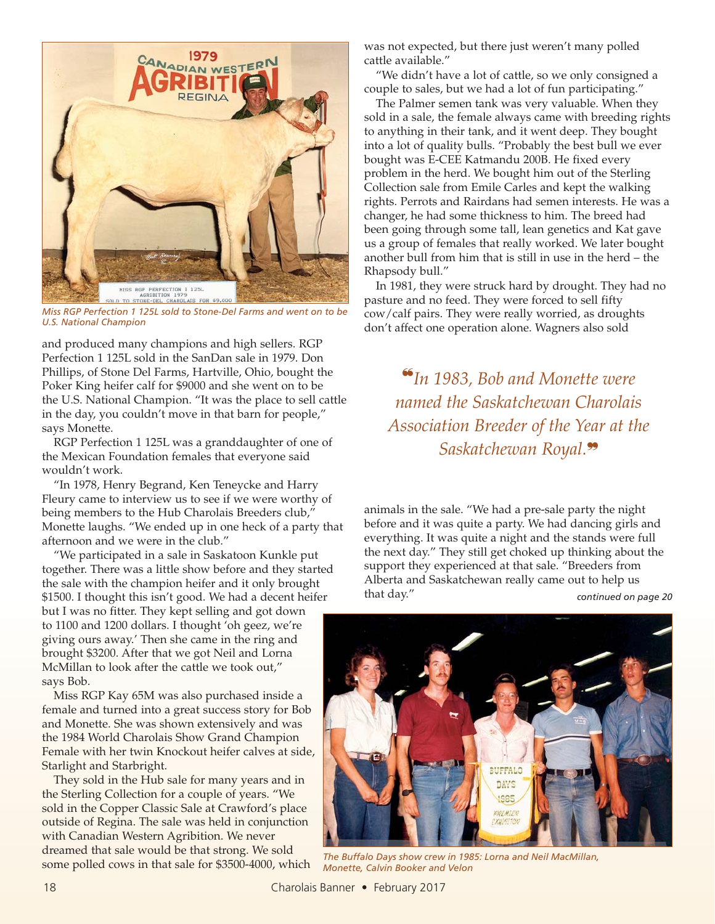

*Miss RGP Perfection 1 125L sold to Stone-Del Farms and went on to be U.S. National Champion*

and produced many champions and high sellers. RGP Perfection 1 125L sold in the SanDan sale in 1979. Don Phillips, of Stone Del Farms, Hartville, Ohio, bought the Poker King heifer calf for \$9000 and she went on to be the U.S. National Champion. "It was the place to sell cattle in the day, you couldn't move in that barn for people," says Monette.

RGP Perfection 1 125L was a granddaughter of one of the Mexican Foundation females that everyone said wouldn't work.

"In 1978, Henry Begrand, Ken Teneycke and Harry Fleury came to interview us to see if we were worthy of being members to the Hub Charolais Breeders club," Monette laughs. "We ended up in one heck of a party that afternoon and we were in the club."

"We participated in a sale in Saskatoon Kunkle put together. There was a little show before and they started the sale with the champion heifer and it only brought \$1500. I thought this isn't good. We had a decent heifer but I was no fitter. They kept selling and got down to 1100 and 1200 dollars. I thought 'oh geez, we're giving ours away.' Then she came in the ring and brought \$3200. After that we got Neil and Lorna McMillan to look after the cattle we took out," says Bob.

Miss RGP Kay 65M was also purchased inside a female and turned into a great success story for Bob and Monette. She was shown extensively and was the 1984 World Charolais Show Grand Champion Female with her twin Knockout heifer calves at side, Starlight and Starbright.

They sold in the Hub sale for many years and in the Sterling Collection for a couple of years. "We sold in the Copper Classic Sale at Crawford's place outside of Regina. The sale was held in conjunction with Canadian Western Agribition. We never dreamed that sale would be that strong. We sold some polled cows in that sale for \$3500-4000, which was not expected, but there just weren't many polled cattle available."

"We didn't have a lot of cattle, so we only consigned a couple to sales, but we had a lot of fun participating."

The Palmer semen tank was very valuable. When they sold in a sale, the female always came with breeding rights to anything in their tank, and it went deep. They bought into a lot of quality bulls. "Probably the best bull we ever bought was E-CEE Katmandu 200B. He fixed every problem in the herd. We bought him out of the Sterling Collection sale from Emile Carles and kept the walking rights. Perrots and Rairdans had semen interests. He was a changer, he had some thickness to him. The breed had been going through some tall, lean genetics and Kat gave us a group of females that really worked. We later bought another bull from him that is still in use in the herd – the Rhapsody bull."

In 1981, they were struck hard by drought. They had no pasture and no feed. They were forced to sell fifty cow/calf pairs. They were really worried, as droughts don't affect one operation alone. Wagners also sold

❝*In 1983, Bob and Monette were named the Saskatchewan Charolais Association Breeder of the Year at the Saskatchewan Royal.*❞

animals in the sale. "We had a pre-sale party the night before and it was quite a party. We had dancing girls and everything. It was quite a night and the stands were full the next day." They still get choked up thinking about the support they experienced at that sale. "Breeders from Alberta and Saskatchewan really came out to help us that day." *continued on page 20*



*The Buffalo Days show crew in 1985: Lorna and Neil MacMillan, Monette, Calvin Booker and Velon*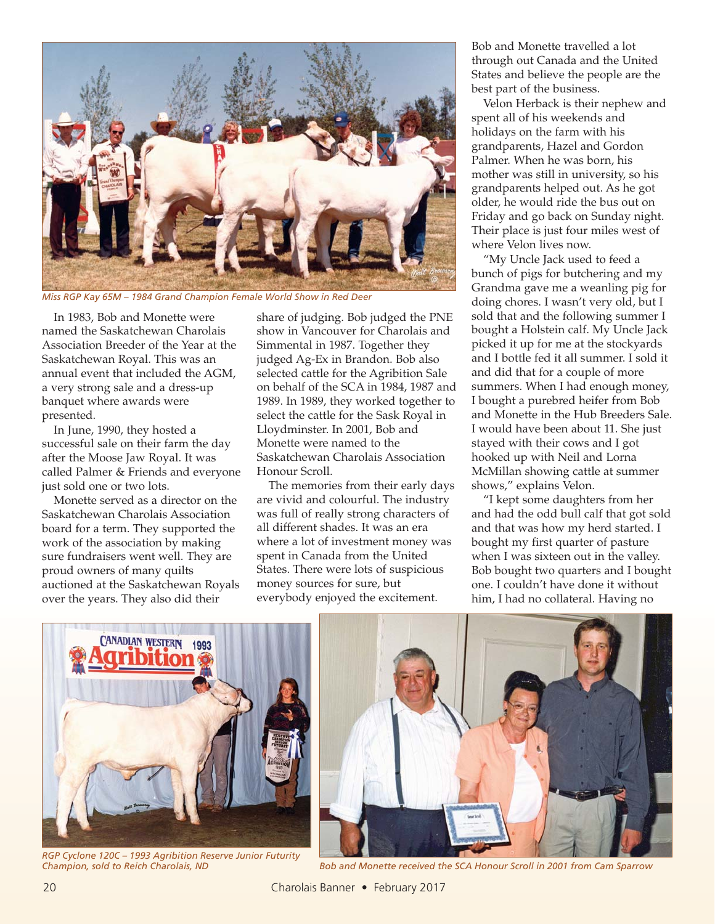

*Miss RGP Kay 65M – 1984 Grand Champion Female World Show in Red Deer*

In 1983, Bob and Monette were named the Saskatchewan Charolais Association Breeder of the Year at the Saskatchewan Royal. This was an annual event that included the AGM, a very strong sale and a dress-up banquet where awards were presented.

In June, 1990, they hosted a successful sale on their farm the day after the Moose Jaw Royal. It was called Palmer & Friends and everyone just sold one or two lots.

Monette served as a director on the Saskatchewan Charolais Association board for a term. They supported the work of the association by making sure fundraisers went well. They are proud owners of many quilts auctioned at the Saskatchewan Royals over the years. They also did their

share of judging. Bob judged the PNE show in Vancouver for Charolais and Simmental in 1987. Together they judged Ag-Ex in Brandon. Bob also selected cattle for the Agribition Sale on behalf of the SCA in 1984, 1987 and 1989. In 1989, they worked together to select the cattle for the Sask Royal in Lloydminster. In 2001, Bob and Monette were named to the Saskatchewan Charolais Association Honour Scroll.

The memories from their early days are vivid and colourful. The industry was full of really strong characters of all different shades. It was an era where a lot of investment money was spent in Canada from the United States. There were lots of suspicious money sources for sure, but everybody enjoyed the excitement.

Bob and Monette travelled a lot through out Canada and the United States and believe the people are the best part of the business.

Velon Herback is their nephew and spent all of his weekends and holidays on the farm with his grandparents, Hazel and Gordon Palmer. When he was born, his mother was still in university, so his grandparents helped out. As he got older, he would ride the bus out on Friday and go back on Sunday night. Their place is just four miles west of where Velon lives now.

"My Uncle Jack used to feed a bunch of pigs for butchering and my Grandma gave me a weanling pig for doing chores. I wasn't very old, but I sold that and the following summer I bought a Holstein calf. My Uncle Jack picked it up for me at the stockyards and I bottle fed it all summer. I sold it and did that for a couple of more summers. When I had enough money, I bought a purebred heifer from Bob and Monette in the Hub Breeders Sale. I would have been about 11. She just stayed with their cows and I got hooked up with Neil and Lorna McMillan showing cattle at summer shows," explains Velon.

"I kept some daughters from her and had the odd bull calf that got sold and that was how my herd started. I bought my first quarter of pasture when I was sixteen out in the valley. Bob bought two quarters and I bought one. I couldn't have done it without him, I had no collateral. Having no



*RGP Cyclone 120C – 1993 Agribition Reserve Junior Futurity*



*Champion, sold to Reich Charolais, ND Bob and Monette received the SCA Honour Scroll in 2001 from Cam Sparrow*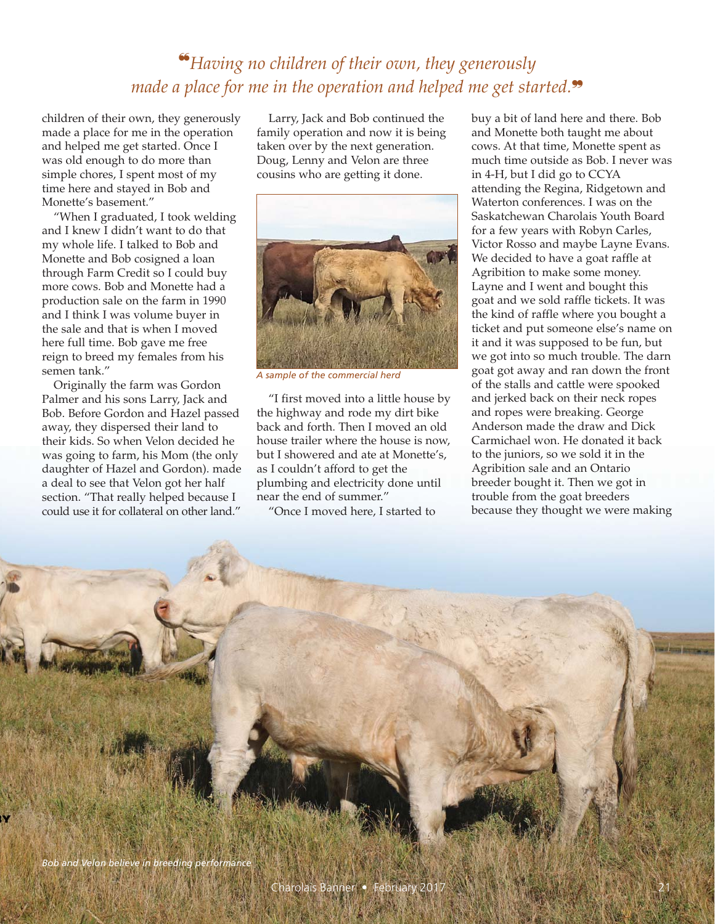## ❝*Having no children of their own, they generously made a place for me in the operation and helped me get started.*❞

children of their own, they generously made a place for me in the operation and helped me get started. Once I was old enough to do more than simple chores, I spent most of my time here and stayed in Bob and Monette's basement."

"When I graduated, I took welding and I knew I didn't want to do that my whole life. I talked to Bob and Monette and Bob cosigned a loan through Farm Credit so I could buy more cows. Bob and Monette had a production sale on the farm in 1990 and I think I was volume buyer in the sale and that is when I moved here full time. Bob gave me free reign to breed my females from his semen tank."

Originally the farm was Gordon Palmer and his sons Larry, Jack and Bob. Before Gordon and Hazel passed away, they dispersed their land to their kids. So when Velon decided he was going to farm, his Mom (the only daughter of Hazel and Gordon). made a deal to see that Velon got her half section. "That really helped because I could use it for collateral on other land."

Larry, Jack and Bob continued the family operation and now it is being taken over by the next generation. Doug, Lenny and Velon are three cousins who are getting it done.



*A sample of the commercial herd*

"I first moved into a little house by the highway and rode my dirt bike back and forth. Then I moved an old house trailer where the house is now, but I showered and ate at Monette's, as I couldn't afford to get the plumbing and electricity done until near the end of summer."

"Once I moved here, I started to

buy a bit of land here and there. Bob and Monette both taught me about cows. At that time, Monette spent as much time outside as Bob. I never was in 4-H, but I did go to CCYA attending the Regina, Ridgetown and Waterton conferences. I was on the Saskatchewan Charolais Youth Board for a few years with Robyn Carles, Victor Rosso and maybe Layne Evans. We decided to have a goat raffle at Agribition to make some money. Layne and I went and bought this goat and we sold raffle tickets. It was the kind of raffle where you bought a ticket and put someone else's name on it and it was supposed to be fun, but we got into so much trouble. The darn goat got away and ran down the front of the stalls and cattle were spooked and jerked back on their neck ropes and ropes were breaking. George Anderson made the draw and Dick Carmichael won. He donated it back to the juniors, so we sold it in the Agribition sale and an Ontario breeder bought it. Then we got in trouble from the goat breeders because they thought we were making

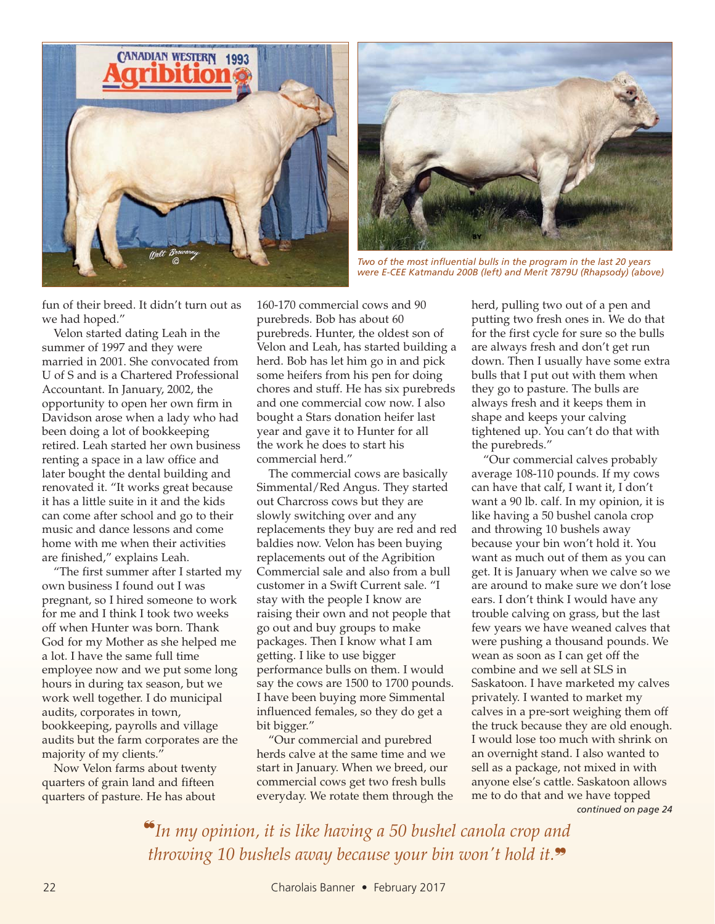



*Two of the most influential bulls in the program in the last 20 years were E-CEE Katmandu 200B (left) and Merit 7879U (Rhapsody) (above)*

fun of their breed. It didn't turn out as we had hoped."

Velon started dating Leah in the summer of 1997 and they were married in 2001. She convocated from U of S and is a Chartered Professional Accountant. In January, 2002, the opportunity to open her own firm in Davidson arose when a lady who had been doing a lot of bookkeeping retired. Leah started her own business renting a space in a law office and later bought the dental building and renovated it. "It works great because it has a little suite in it and the kids can come after school and go to their music and dance lessons and come home with me when their activities are finished," explains Leah.

"The first summer after I started my own business I found out I was pregnant, so I hired someone to work for me and I think I took two weeks off when Hunter was born. Thank God for my Mother as she helped me a lot. I have the same full time employee now and we put some long hours in during tax season, but we work well together. I do municipal audits, corporates in town, bookkeeping, payrolls and village audits but the farm corporates are the majority of my clients."

Now Velon farms about twenty quarters of grain land and fifteen quarters of pasture. He has about

160-170 commercial cows and 90 purebreds. Bob has about 60 purebreds. Hunter, the oldest son of Velon and Leah, has started building a herd. Bob has let him go in and pick some heifers from his pen for doing chores and stuff. He has six purebreds and one commercial cow now. I also bought a Stars donation heifer last year and gave it to Hunter for all the work he does to start his commercial herd."

The commercial cows are basically Simmental/Red Angus. They started out Charcross cows but they are slowly switching over and any replacements they buy are red and red baldies now. Velon has been buying replacements out of the Agribition Commercial sale and also from a bull customer in a Swift Current sale. "I stay with the people I know are raising their own and not people that go out and buy groups to make packages. Then I know what I am getting. I like to use bigger performance bulls on them. I would say the cows are 1500 to 1700 pounds. I have been buying more Simmental influenced females, so they do get a bit bigger."

"Our commercial and purebred herds calve at the same time and we start in January. When we breed, our commercial cows get two fresh bulls everyday. We rotate them through the herd, pulling two out of a pen and putting two fresh ones in. We do that for the first cycle for sure so the bulls are always fresh and don't get run down. Then I usually have some extra bulls that I put out with them when they go to pasture. The bulls are always fresh and it keeps them in shape and keeps your calving tightened up. You can't do that with the purebreds."

"Our commercial calves probably average 108-110 pounds. If my cows can have that calf, I want it, I don't want a 90 lb. calf. In my opinion, it is like having a 50 bushel canola crop and throwing 10 bushels away because your bin won't hold it. You want as much out of them as you can get. It is January when we calve so we are around to make sure we don't lose ears. I don't think I would have any trouble calving on grass, but the last few years we have weaned calves that were pushing a thousand pounds. We wean as soon as I can get off the combine and we sell at SLS in Saskatoon. I have marketed my calves privately. I wanted to market my calves in a pre-sort weighing them off the truck because they are old enough. I would lose too much with shrink on an overnight stand. I also wanted to sell as a package, not mixed in with anyone else's cattle. Saskatoon allows me to do that and we have topped *continued on page 24*

❝*In my opinion, it is like having a 50 bushel canola crop and throwing 10 bushels away because your bin won't hold it.*❞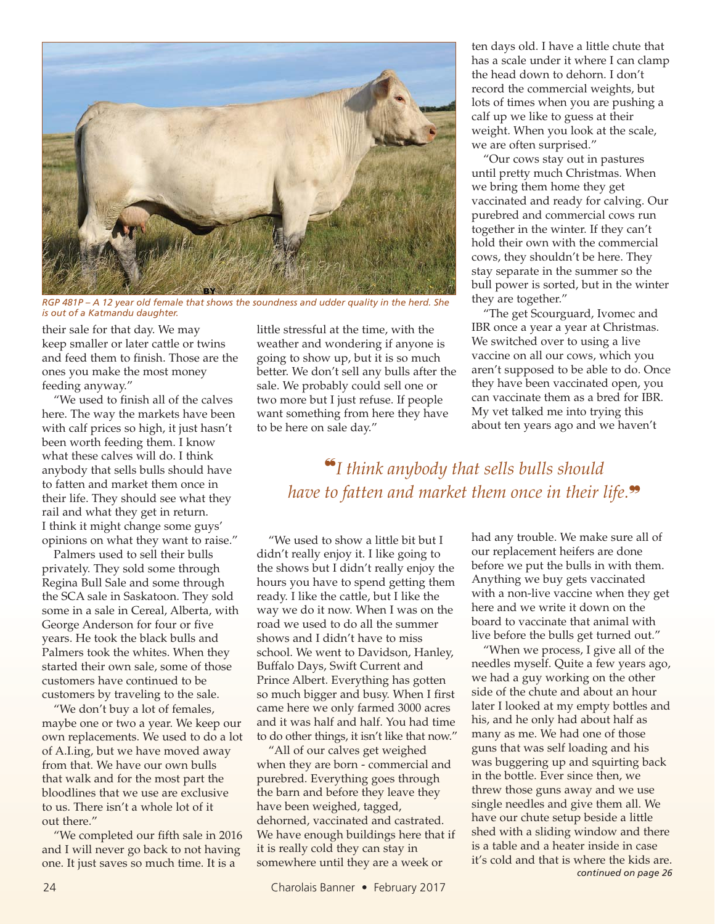

*RGP 481P – A 12 year old female that shows the soundness and udder quality in the herd. She is out of a Katmandu daughter.*

their sale for that day. We may keep smaller or later cattle or twins and feed them to finish. Those are the ones you make the most money feeding anyway."

"We used to finish all of the calves here. The way the markets have been with calf prices so high, it just hasn't been worth feeding them. I know what these calves will do. I think anybody that sells bulls should have to fatten and market them once in their life. They should see what they rail and what they get in return. I think it might change some guys' opinions on what they want to raise."

Palmers used to sell their bulls privately. They sold some through Regina Bull Sale and some through the SCA sale in Saskatoon. They sold some in a sale in Cereal, Alberta, with George Anderson for four or five years. He took the black bulls and Palmers took the whites. When they started their own sale, some of those customers have continued to be customers by traveling to the sale.

"We don't buy a lot of females, maybe one or two a year. We keep our own replacements. We used to do a lot of A.I.ing, but we have moved away from that. We have our own bulls that walk and for the most part the bloodlines that we use are exclusive to us. There isn't a whole lot of it out there."

"We completed our fifth sale in 2016 and I will never go back to not having one. It just saves so much time. It is a

little stressful at the time, with the weather and wondering if anyone is going to show up, but it is so much better. We don't sell any bulls after the sale. We probably could sell one or two more but I just refuse. If people want something from here they have to be here on sale day."

ten days old. I have a little chute that has a scale under it where I can clamp the head down to dehorn. I don't record the commercial weights, but lots of times when you are pushing a calf up we like to guess at their weight. When you look at the scale, we are often surprised."

"Our cows stay out in pastures until pretty much Christmas. When we bring them home they get vaccinated and ready for calving. Our purebred and commercial cows run together in the winter. If they can't hold their own with the commercial cows, they shouldn't be here. They stay separate in the summer so the bull power is sorted, but in the winter they are together."

"The get Scourguard, Ivomec and IBR once a year a year at Christmas. We switched over to using a live vaccine on all our cows, which you aren't supposed to be able to do. Once they have been vaccinated open, you can vaccinate them as a bred for IBR. My vet talked me into trying this about ten years ago and we haven't

❝*I think anybody that sells bulls should have to fatten and market them once in their life.*❞

"We used to show a little bit but I didn't really enjoy it. I like going to the shows but I didn't really enjoy the hours you have to spend getting them ready. I like the cattle, but I like the way we do it now. When I was on the road we used to do all the summer shows and I didn't have to miss school. We went to Davidson, Hanley, Buffalo Days, Swift Current and Prince Albert. Everything has gotten so much bigger and busy. When I first came here we only farmed 3000 acres and it was half and half. You had time to do other things, it isn't like that now."

"All of our calves get weighed when they are born - commercial and purebred. Everything goes through the barn and before they leave they have been weighed, tagged, dehorned, vaccinated and castrated. We have enough buildings here that if it is really cold they can stay in somewhere until they are a week or

had any trouble. We make sure all of our replacement heifers are done before we put the bulls in with them. Anything we buy gets vaccinated with a non-live vaccine when they get here and we write it down on the board to vaccinate that animal with live before the bulls get turned out."

"When we process, I give all of the needles myself. Quite a few years ago, we had a guy working on the other side of the chute and about an hour later I looked at my empty bottles and his, and he only had about half as many as me. We had one of those guns that was self loading and his was buggering up and squirting back in the bottle. Ever since then, we threw those guns away and we use single needles and give them all. We have our chute setup beside a little shed with a sliding window and there is a table and a heater inside in case it's cold and that is where the kids are. *continued on page 26*